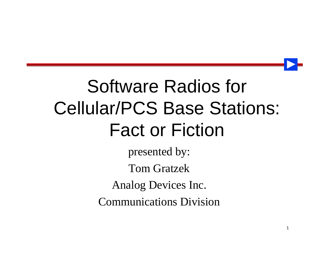# Software Radios for Cellular/PCS Base Stations: Fact or Fiction

presented by: Tom Gratzek Analog Devices Inc. Communications Division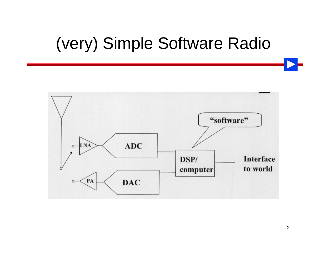#### (very) Simple Software Radio

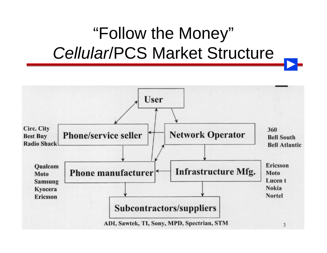## "Follow the Money" *Cellular*/PCS Market Structure

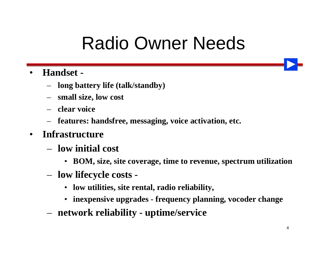# Radio Owner Needs

#### • **Handset -**

- **long battery life (talk/standby)**
- **small size, low cost**
- **clear voice**
- **features: handsfree, messaging, voice activation, etc.**
- **Infrastructure**
	- **low initial cost**
		- **BOM, size, site coverage, time to revenue, spectrum utilization**
	- **low lifecycle costs -**
		- **low utilities, site rental, radio reliability,**
		- **inexpensive upgrades frequency planning, vocoder change**
	- **network reliability uptime/service**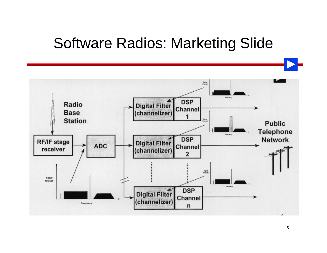#### Software Radios: Marketing Slide

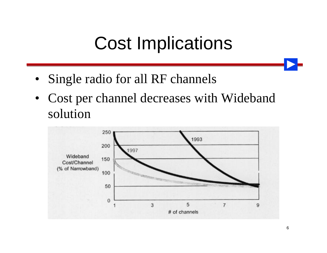# Cost Implications

- Single radio for all RF channels
- Cost per channel decreases with Wideband solution

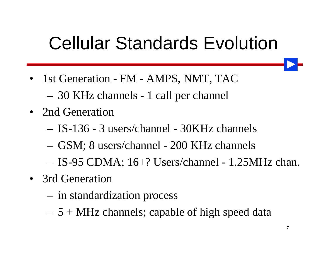# Cellular Standards Evolution

- 1st Generation FM AMPS, NMT, TAC
	- 30 KHz channels 1 call per channel
- 2nd Generation
	- IS-136 3 users/channel 30KHz channels
	- GSM; 8 users/channel 200 KHz channels
	- IS-95 CDMA; 16+? Users/channel 1.25MHz chan.
- 3rd Generation
	- in standardization process
	- $-5 + MHz$  channels; capable of high speed data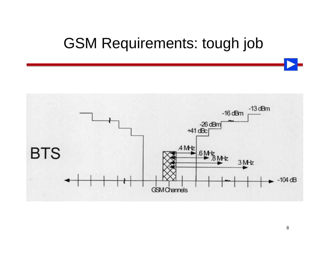#### GSM Requirements: tough job

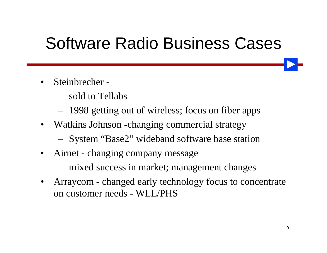#### Software Radio Business Cases

- Steinbrecher
	- sold to Tellabs
	- 1998 getting out of wireless; focus on fiber apps
- Watkins Johnson -changing commercial strategy
	- System "Base2" wideband software base station
- Airnet changing company message
	- mixed success in market; management changes
- Arraycom changed early technology focus to concentrate on customer needs - WLL/PHS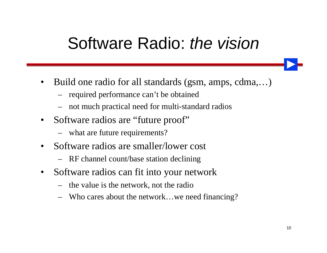#### Software Radio: *the vision*

- Build one radio for all standards (gsm, amps, cdma,...)
	- required performance can't be obtained
	- not much practical need for multi-standard radios
- Software radios are "future proof"
	- what are future requirements?
- Software radios are smaller/lower cost
	- RF channel count/base station declining
- Software radios can fit into your network
	- the value is the network, not the radio
	- Who cares about the network…we need financing?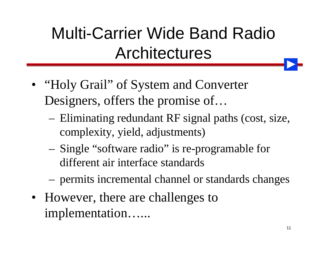# Multi-Carrier Wide Band Radio Architectures

- "Holy Grail" of System and Converter Designers, offers the promise of…
	- Eliminating redundant RF signal paths (cost, size, complexity, yield, adjustments)
	- Single "software radio" is re-programable for different air interface standards
	- permits incremental channel or standards changes
- However, there are challenges to implementation…...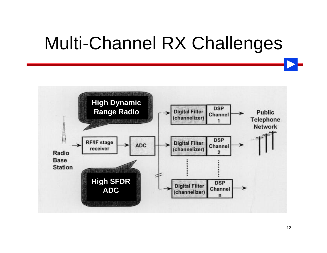# Multi-Channel RX Challenges

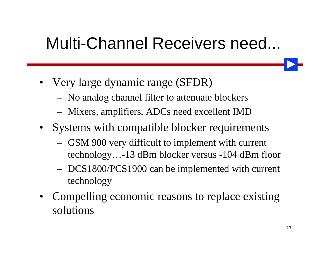#### Multi-Channel Receivers need...

- Very large dynamic range (SFDR)
	- No analog channel filter to attenuate blockers
	- Mixers, amplifiers, ADCs need excellent IMD
- Systems with compatible blocker requirements
	- GSM 900 very difficult to implement with current technology…-13 dBm blocker versus -104 dBm floor
	- DCS1800/PCS1900 can be implemented with current technology
- Compelling economic reasons to replace existing solutions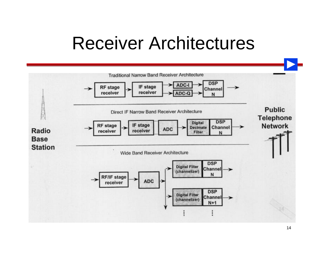## Receiver Architectures

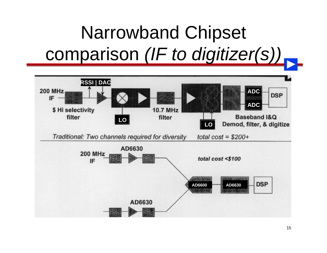# Narrowband Chipset comparison *(IF to digitizer(s))*

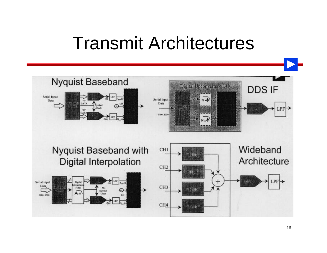#### Transmit Architectures

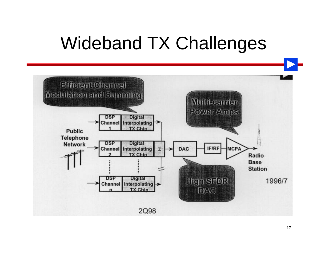# Wideband TX Challenges

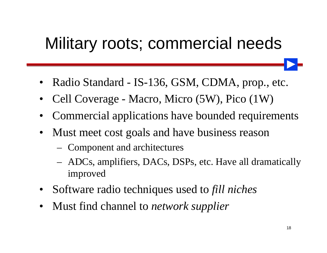#### Military roots; commercial needs

- Radio Standard IS-136, GSM, CDMA, prop., etc.
- Cell Coverage Macro, Micro (5W), Pico (1W)
- Commercial applications have bounded requirements
- Must meet cost goals and have business reason
	- Component and architectures
	- ADCs, amplifiers, DACs, DSPs, etc. Have all dramatically improved
- Software radio techniques used to *fill niches*
- Must find channel to *network supplier*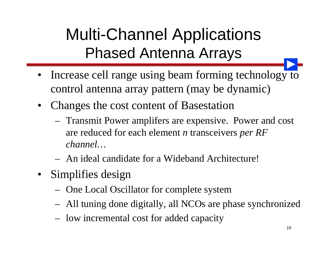## Multi-Channel Applications Phased Antenna Arrays

- Increase cell range using beam forming technology to control antenna array pattern (may be dynamic)
- Changes the cost content of Basestation
	- Transmit Power amplifers are expensive. Power and cost are reduced for each element *n* transceivers *per RF channel…*
	- An ideal candidate for a Wideband Architecture!
- Simplifies design
	- One Local Oscillator for complete system
	- All tuning done digitally, all NCOs are phase synchronized
	- low incremental cost for added capacity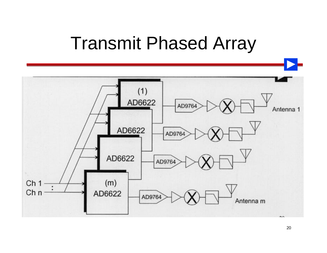#### Transmit Phased Array

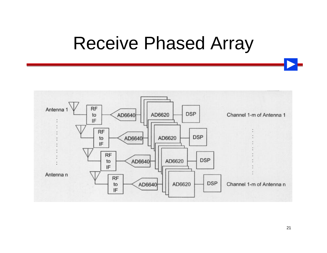#### Receive Phased Array

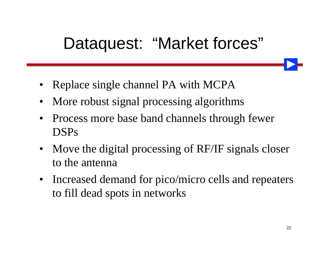#### Dataquest: "Market forces"

- Replace single channel PA with MCPA
- More robust signal processing algorithms
- Process more base band channels through fewer DSPs
- Move the digital processing of RF/IF signals closer to the antenna
- Increased demand for pico/micro cells and repeaters to fill dead spots in networks